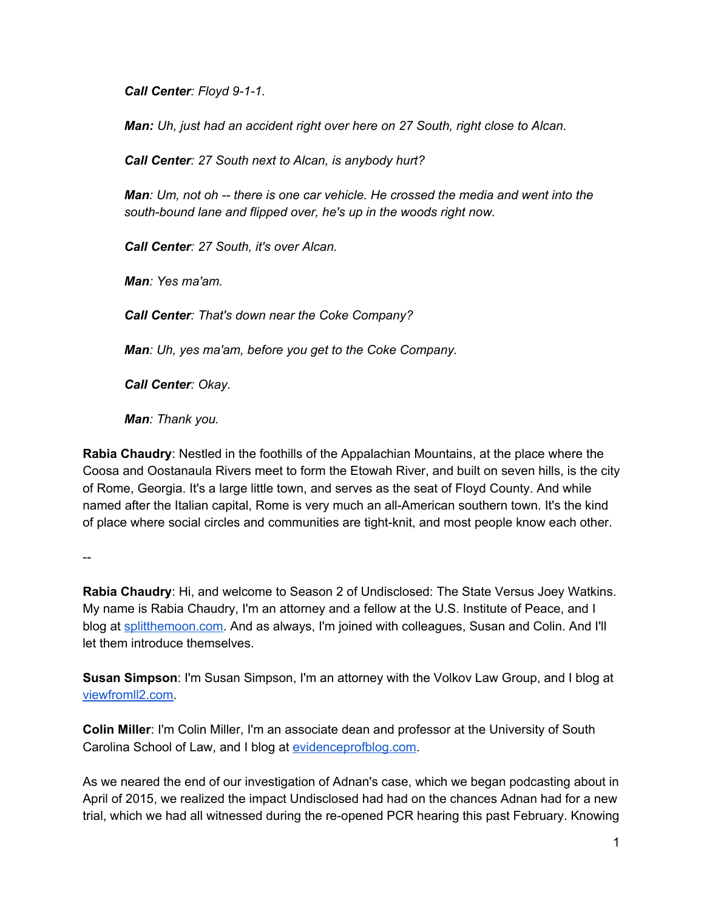*Call Center: Floyd 9-1-1.* 

*Man: Uh, just had an accident right over here on 27 South, right close to Alcan.*

*Call Center: 27 South next to Alcan, is anybody hurt?*

*Man: Um, not oh there is one car vehicle. He crossed the media and went into the south-bound lane and flipped over, he's up in the woods right now.* 

*Call Center: 27 South, it's over Alcan.*

*Man: Yes ma'am.*

*Call Center: That's down near the Coke Company?*

*Man: Uh, yes ma'am, before you get to the Coke Company.*

*Call Center: Okay.*

*Man: Thank you.*

**Rabia Chaudry**: Nestled in the foothills of the Appalachian Mountains, at the place where the Coosa and Oostanaula Rivers meet to form the Etowah River, and built on seven hills, is the city of Rome, Georgia. It's a large little town, and serves as the seat of Floyd County. And while named after the Italian capital, Rome is very much an all-American southern town. It's the kind of place where social circles and communities are tight-knit, and most people know each other.

--

**Rabia Chaudry**: Hi, and welcome to Season 2 of Undisclosed: The State Versus Joey Watkins. My name is Rabia Chaudry, I'm an attorney and a fellow at the U.S. Institute of Peace, and I blog at [splitthemoon.com](http://www.splitthemoon.com/). And as always, I'm joined with colleagues, Susan and Colin. And I'll let them introduce themselves.

**Susan Simpson**: I'm Susan Simpson, I'm an attorney with the Volkov Law Group, and I blog at [viewfromll2.com.](https://viewfromll2.com/)

**Colin Miller**: I'm Colin Miller, I'm an associate dean and professor at the University of South Carolina School of Law, and I blog at [evidenceprofblog.com.](http://lawprofessors.typepad.com/evidenceprof/)

As we neared the end of our investigation of Adnan's case, which we began podcasting about in April of 2015, we realized the impact Undisclosed had had on the chances Adnan had for a new trial, which we had all witnessed during the re-opened PCR hearing this past February. Knowing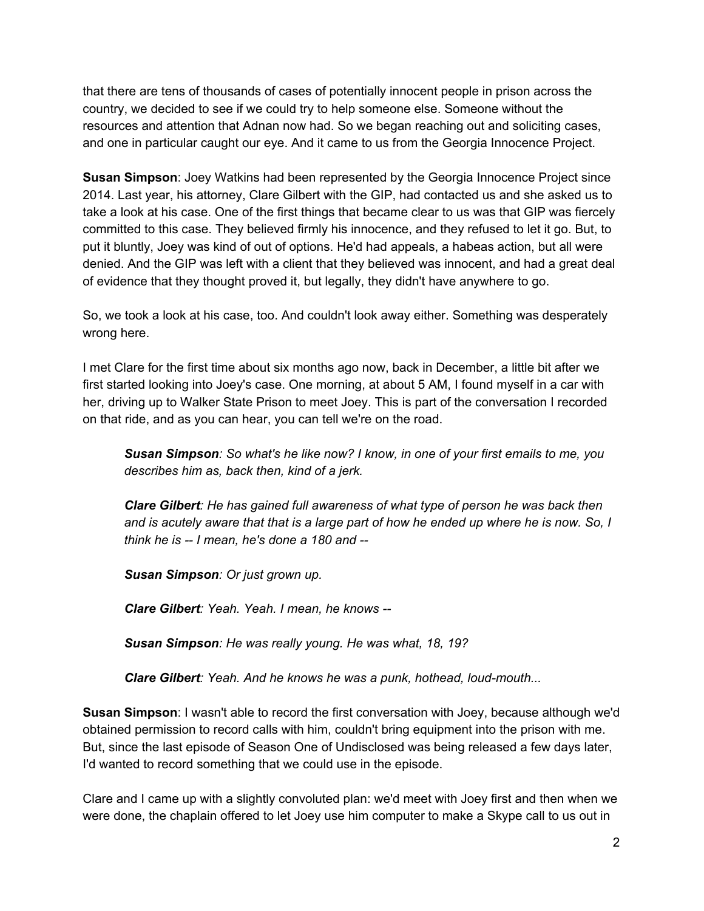that there are tens of thousands of cases of potentially innocent people in prison across the country, we decided to see if we could try to help someone else. Someone without the resources and attention that Adnan now had. So we began reaching out and soliciting cases, and one in particular caught our eye. And it came to us from the Georgia Innocence Project.

**Susan Simpson**: Joey Watkins had been represented by the Georgia Innocence Project since 2014. Last year, his attorney, Clare Gilbert with the GIP, had contacted us and she asked us to take a look at his case. One of the first things that became clear to us was that GIP was fiercely committed to this case. They believed firmly his innocence, and they refused to let it go. But, to put it bluntly, Joey was kind of out of options. He'd had appeals, a habeas action, but all were denied. And the GIP was left with a client that they believed was innocent, and had a great deal of evidence that they thought proved it, but legally, they didn't have anywhere to go.

So, we took a look at his case, too. And couldn't look away either. Something was desperately wrong here.

I met Clare for the first time about six months ago now, back in December, a little bit after we first started looking into Joey's case. One morning, at about 5 AM, I found myself in a car with her, driving up to Walker State Prison to meet Joey. This is part of the conversation I recorded on that ride, and as you can hear, you can tell we're on the road.

*Susan Simpson: So what's he like now? I know, in one of your first emails to me, you describes him as, back then, kind of a jerk.*

*Clare Gilbert: He has gained full awareness of what type of person he was back then* and is acutely aware that that is a large part of how he ended up where he is now. So, I *think he is I mean, he's done a 180 and*

*Susan Simpson: Or just grown up.*

*Clare Gilbert: Yeah. Yeah. I mean, he knows*

*Susan Simpson: He was really young. He was what, 18, 19?*

*Clare Gilbert: Yeah. And he knows he was a punk, hothead, loudmouth...*

**Susan Simpson**: I wasn't able to record the first conversation with Joey, because although we'd obtained permission to record calls with him, couldn't bring equipment into the prison with me. But, since the last episode of Season One of Undisclosed was being released a few days later, I'd wanted to record something that we could use in the episode.

Clare and I came up with a slightly convoluted plan: we'd meet with Joey first and then when we were done, the chaplain offered to let Joey use him computer to make a Skype call to us out in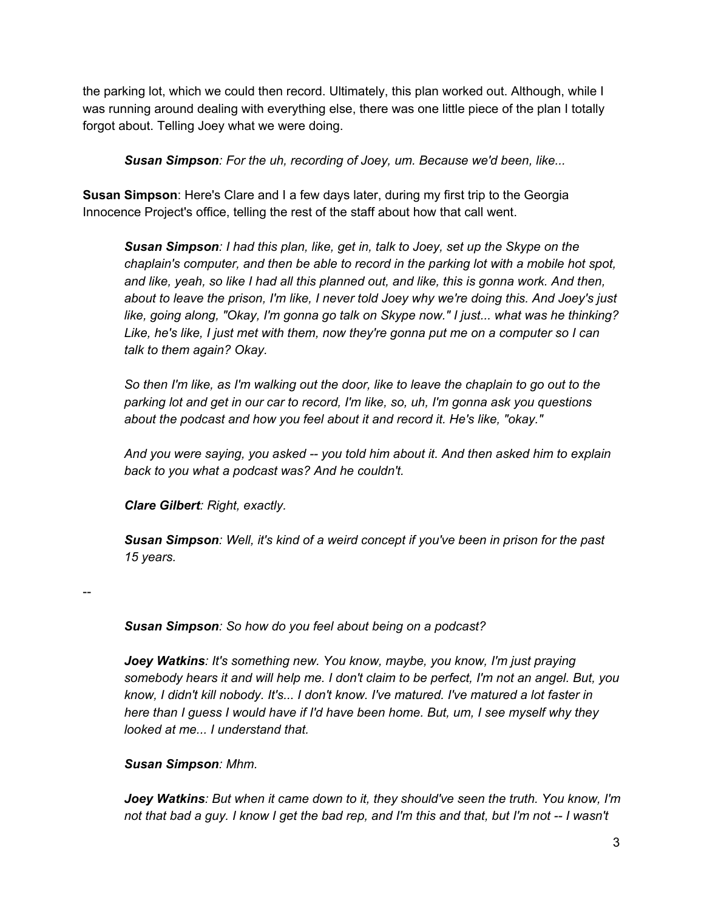the parking lot, which we could then record. Ultimately, this plan worked out. Although, while I was running around dealing with everything else, there was one little piece of the plan I totally forgot about. Telling Joey what we were doing.

*Susan Simpson: For the uh, recording of Joey, um. Because we'd been, like...*

**Susan Simpson**: Here's Clare and I a few days later, during my first trip to the Georgia Innocence Project's office, telling the rest of the staff about how that call went.

*Susan Simpson: I had this plan, like, get in, talk to Joey, set up the Skype on the chaplain's computer, and then be able to record in the parking lot with a mobile hot spot, and like, yeah, so like I had all this planned out, and like, this is gonna work. And then, about to leave the prison, I'm like, I never told Joey why we're doing this. And Joey's just like, going along, "Okay, I'm gonna go talk on Skype now." I just... what was he thinking? Like, he's like, I just met with them, now they're gonna put me on a computer so I can talk to them again? Okay.*

So then I'm like, as I'm walking out the door, like to leave the chaplain to go out to the *parking lot and get in our car to record, I'm like, so, uh, I'm gonna ask you questions about the podcast and how you feel about it and record it. He's like, "okay."*

*And you were saying, you asked you told him about it. And then asked him to explain back to you what a podcast was? And he couldn't.*

*Clare Gilbert: Right, exactly.*

*Susan Simpson: Well, it's kind of a weird concept if you've been in prison for the past 15 years.*

--

*Susan Simpson: So how do you feel about being on a podcast?*

*Joey Watkins: It's something new. You know, maybe, you know, I'm just praying somebody hears it and will help me. I don't claim to be perfect, I'm not an angel. But, you know, I didn't kill nobody. It's... I don't know. I've matured. I've matured a lot faster in here than I guess I would have if I'd have been home. But, um, I see myself why they looked at me... I understand that.*

*Susan Simpson: Mhm.*

*Joey Watkins: But when it came down to it, they should've seen the truth. You know, I'm* not that bad a guy. I know I get the bad rep, and I'm this and that, but I'm not -- I wasn't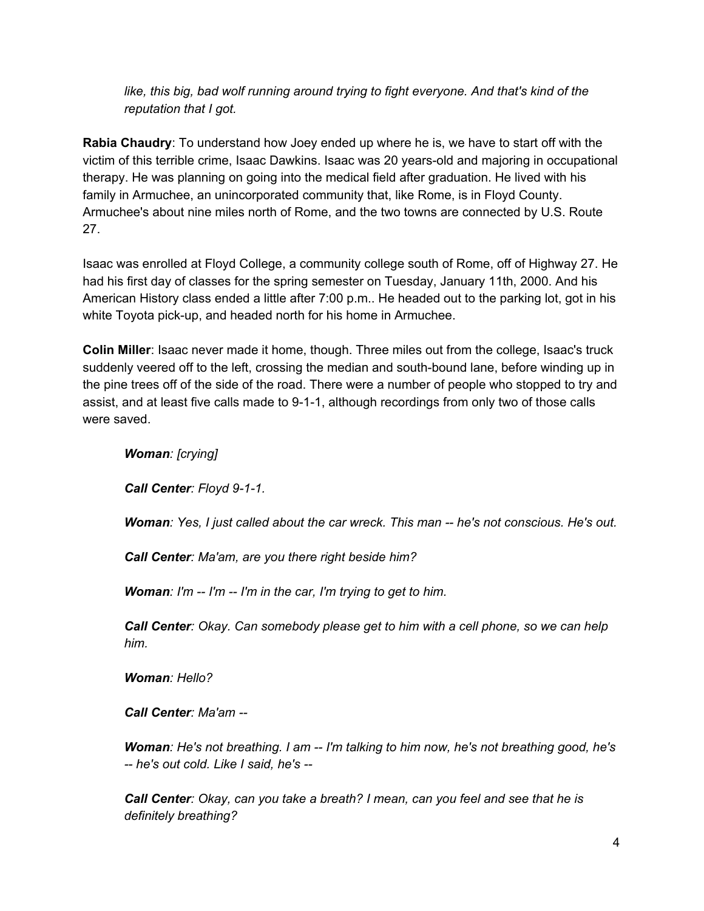*like, this big, bad wolf running around trying to fight everyone. And that's kind of the reputation that I got.*

**Rabia Chaudry**: To understand how Joey ended up where he is, we have to start off with the victim of this terrible crime, Isaac Dawkins. Isaac was 20 years-old and majoring in occupational therapy. He was planning on going into the medical field after graduation. He lived with his family in Armuchee, an unincorporated community that, like Rome, is in Floyd County. Armuchee's about nine miles north of Rome, and the two towns are connected by U.S. Route 27.

Isaac was enrolled at Floyd College, a community college south of Rome, off of Highway 27. He had his first day of classes for the spring semester on Tuesday, January 11th, 2000. And his American History class ended a little after 7:00 p.m.. He headed out to the parking lot, got in his white Toyota pick-up, and headed north for his home in Armuchee.

**Colin Miller**: Isaac never made it home, though. Three miles out from the college, Isaac's truck suddenly veered off to the left, crossing the median and south-bound lane, before winding up in the pine trees off of the side of the road. There were a number of people who stopped to try and assist, and at least five calls made to 9-1-1, although recordings from only two of those calls were saved.

*Woman: [crying]*

*Call Center: Floyd 9-1-1.* 

*Woman: Yes, I just called about the car wreck. This man he's not conscious. He's out.*

*Call Center: Ma'am, are you there right beside him?*

*Woman: I'm I'm I'm in the car, I'm trying to get to him.*

*Call Center: Okay. Can somebody please get to him with a cell phone, so we can help him.*

*Woman: Hello?*

*Call Center: Ma'am*

*Woman: He's not breathing. I am I'm talking to him now, he's not breathing good, he's he's out cold. Like I said, he's*

*Call Center: Okay, can you take a breath? I mean, can you feel and see that he is definitely breathing?*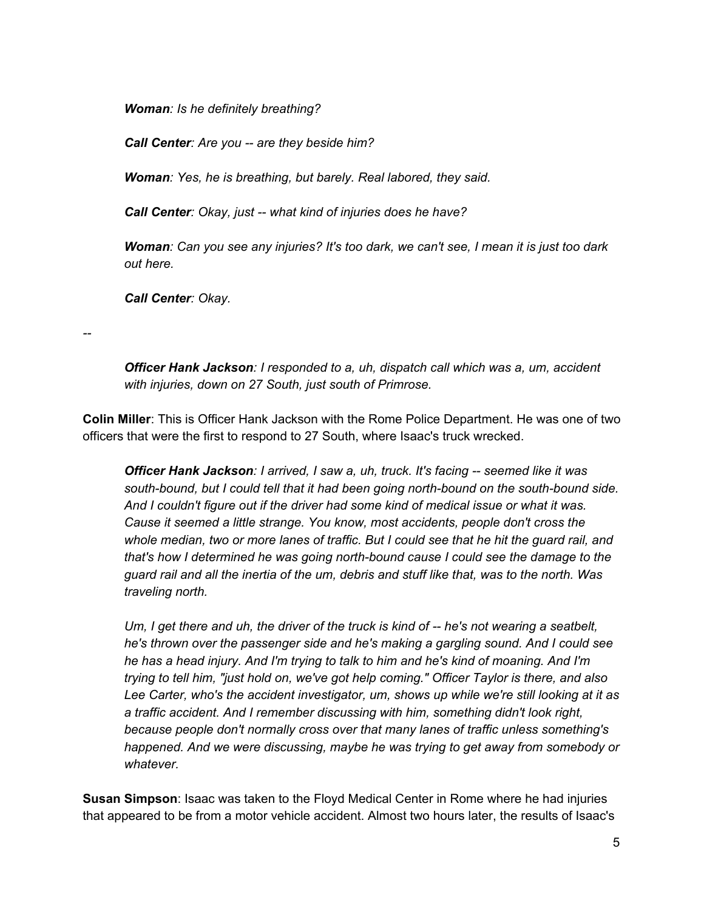*Woman: Is he definitely breathing?*

*Call Center: Are you are they beside him?*

*Woman: Yes, he is breathing, but barely. Real labored, they said.*

*Call Center: Okay, just what kind of injuries does he have?*

Woman: Can you see any injuries? It's too dark, we can't see, I mean it is just too dark *out here.*

*Call Center: Okay.*

--

*Officer Hank Jackson:I responded to a, uh, dispatch call which was a, um, accident with injuries, down on 27 South, just south of Primrose.*

**Colin Miller**: This is Officer Hank Jackson with the Rome Police Department. He was one of two officers that were the first to respond to 27 South, where Isaac's truck wrecked.

*Officer Hank Jackson:I arrived, I saw a, uh, truck. It's facing seemed like it was south-bound, but I could tell that it had been going north-bound on the south-bound side. And I couldn't figure out if the driver had some kind of medical issue or what it was. Cause it seemed a little strange. You know, most accidents, people don't cross the whole median, two or more lanes of traffic. But I could see that he hit the guard rail, and that's how I determined he was going northbound cause I could see the damage to the guard rail and all the inertia of the um, debris and stuff like that, was to the north. Was traveling north.*

*Um, I get there and uh, the driver of the truck is kind of he's not wearing a seatbelt, he's thrown over the passenger side and he's making a gargling sound. And I could see he has a head injury. And I'm trying to talk to him and he's kind of moaning. And I'm trying to tell him, "just hold on, we've got help coming." Officer Taylor is there, and also Lee Carter, who's the accident investigator, um, shows up while we're still looking at it as a traffic accident. And I remember discussing with him, something didn't look right, because people don't normally cross over that many lanes of traffic unless something's happened. And we were discussing, maybe he was trying to get away from somebody or whatever.*

**Susan Simpson**: Isaac was taken to the Floyd Medical Center in Rome where he had injuries that appeared to be from a motor vehicle accident. Almost two hours later, the results of Isaac's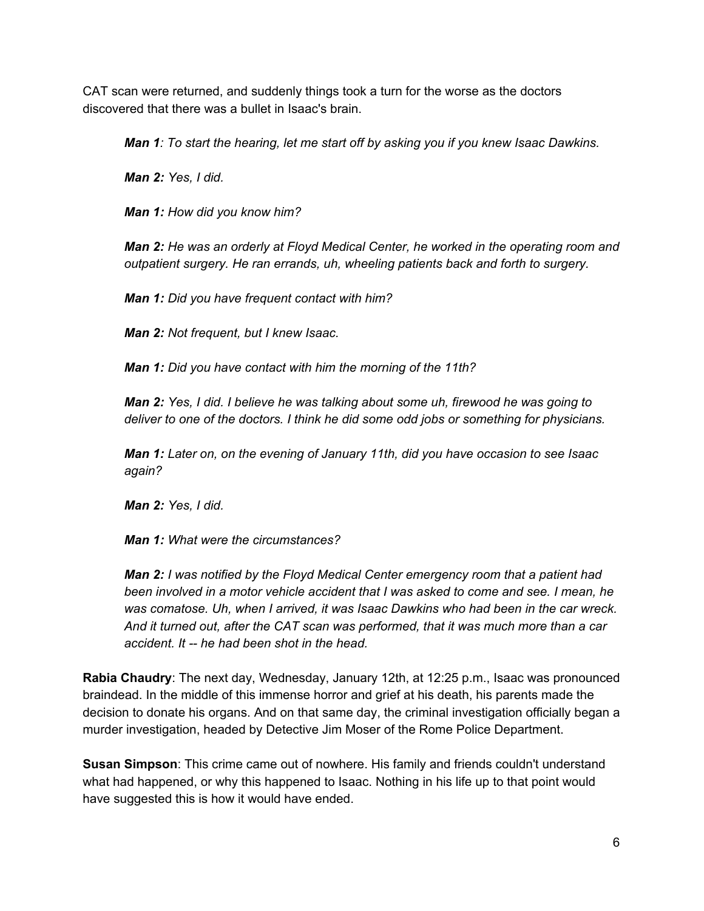CAT scan were returned, and suddenly things took a turn for the worse as the doctors discovered that there was a bullet in Isaac's brain.

*Man 1: To start the hearing, let me start off by asking you if you knew Isaac Dawkins.*

*Man 2: Yes, I did.*

*Man 1: How did you know him?*

*Man 2: He was an orderly at Floyd Medical Center, he worked in the operating room and outpatient surgery. He ran errands, uh, wheeling patients back and forth to surgery.*

*Man 1: Did you have frequent contact with him?*

*Man 2: Not frequent, but I knew Isaac.*

*Man 1: Did you have contact with him the morning of the 11th?*

*Man 2: Yes, I did. I believe he was talking about some uh, firewood he was going to deliver to one of the doctors. I think he did some odd jobs or something for physicians.*

*Man 1: Later on, on the evening of January 11th, did you have occasion to see Isaac again?*

*Man 2: Yes, I did.*

*Man 1: What were the circumstances?*

*Man 2: I was notified by the Floyd Medical Center emergency room that a patient had been involved in a motor vehicle accident that I was asked to come and see. I mean, he was comatose. Uh, when I arrived, it was Isaac Dawkins who had been in the car wreck. And it turned out, after the CAT scan was performed, that it was much more than a car accident. It he had been shot in the head.*

**Rabia Chaudry**: The next day, Wednesday, January 12th, at 12:25 p.m., Isaac was pronounced braindead. In the middle of this immense horror and grief at his death, his parents made the decision to donate his organs. And on that same day, the criminal investigation officially began a murder investigation, headed by Detective Jim Moser of the Rome Police Department.

**Susan Simpson**: This crime came out of nowhere. His family and friends couldn't understand what had happened, or why this happened to Isaac. Nothing in his life up to that point would have suggested this is how it would have ended.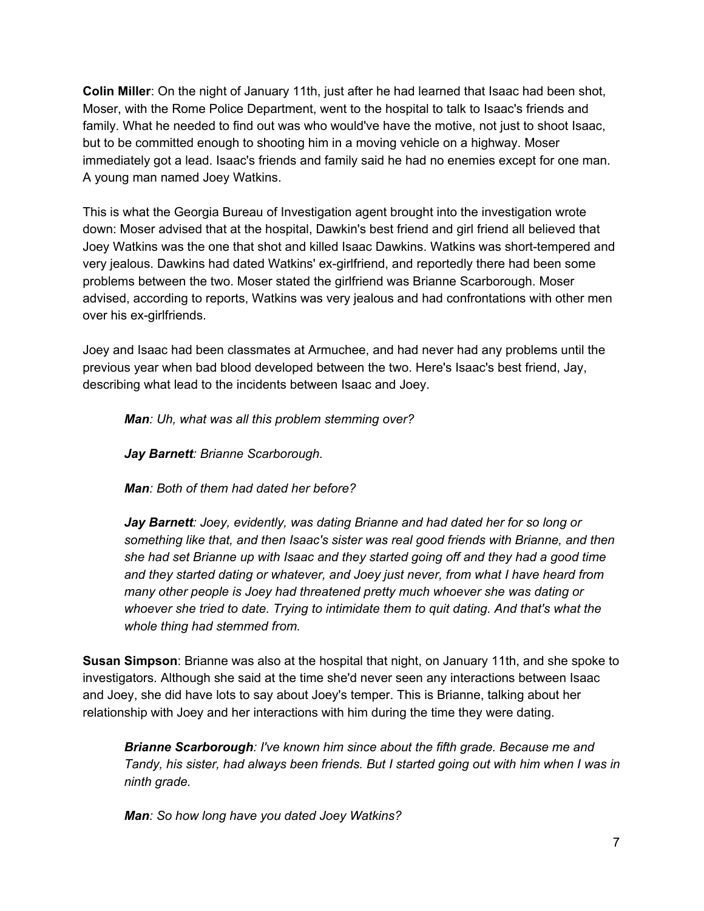**Colin Miller**: On the night of January 11th, just after he had learned that Isaac had been shot, Moser, with the Rome Police Department, went to the hospital to talk to Isaac's friends and family. What he needed to find out was who would've have the motive, not just to shoot Isaac, but to be committed enough to shooting him in a moving vehicle on a highway. Moser immediately got a lead. Isaac's friends and family said he had no enemies except for one man. A young man named Joey Watkins.

This is what the Georgia Bureau of Investigation agent brought into the investigation wrote down: Moser advised that at the hospital, Dawkin's best friend and girl friend all believed that Joey Watkins was the one that shot and killed Isaac Dawkins. Watkins was short-tempered and very jealous. Dawkins had dated Watkins' ex-girlfriend, and reportedly there had been some problems between the two. Moser stated the girlfriend was Brianne Scarborough. Moser advised, according to reports, Watkins was very jealous and had confrontations with other men over his ex-girlfriends.

Joey and Isaac had been classmates at Armuchee, and had never had any problems until the previous year when bad blood developed between the two. Here's Isaac's best friend, Jay, describing what lead to the incidents between Isaac and Joey.

*Man: Uh, what was all this problem stemming over?*

*JayBarnett: Brianne Scarborough.*

*Man: Both of them had dated her before?*

*Jay Barnett: Joey, evidently, was dating Brianne and had dated her for so long or something like that, and then Isaac's sister was real good friends with Brianne, and then she had set Brianne up with Isaac and they started going off and they had a good time and they started dating or whatever, and Joey just never, from what I have heard from many other people is Joey had threatened pretty much whoever she was dating or whoever she tried to date. Trying to intimidate them to quit dating. And that's what the whole thing had stemmed from.*

**Susan Simpson**: Brianne was also at the hospital that night, on January 11th, and she spoke to investigators. Although she said at the time she'd never seen any interactions between Isaac and Joey, she did have lots to say about Joey's temper. This is Brianne, talking about her relationship with Joey and her interactions with him during the time they were dating.

*Brianne Scarborough:I've known him since about the fifth grade. Because me and Tandy, his sister, had always been friends. But I started going out with him when I was in ninth grade.*

*Man: So how long have you dated Joey Watkins?*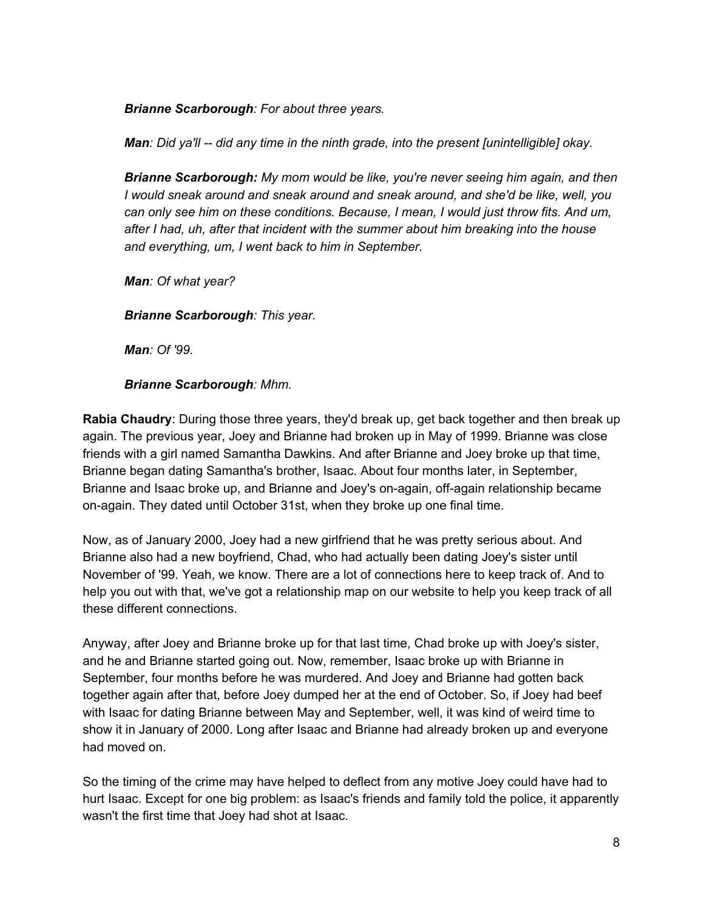*Brianne Scarborough:For about three years.*

*Man: Did ya'll did any time in the ninth grade, into the present [unintelligible] okay.*

*Brianne Scarborough: My mom would be like, you're never seeing him again, and then I would sneak around and sneak around and sneak around, and she'd be like, well, you can only see him on these conditions. Because, I mean, I would just throw fits. And um, after I had, uh, after that incident with the summer about him breaking into the house and everything, um, I went back to him in September.*

*Man: Of what year?*

*Brianne Scarborough:This year.*

*Man: Of '99.*

*Brianne Scarborough:Mhm.*

**Rabia Chaudry**: During those three years, they'd break up, get back together and then break up again. The previous year, Joey and Brianne had broken up in May of 1999. Brianne was close friends with a girl named Samantha Dawkins. And after Brianne and Joey broke up that time, Brianne began dating Samantha's brother, Isaac. About four months later, in September, Brianne and Isaac broke up, and Brianne and Joey's on-again, off-again relationship became on-again. They dated until October 31st, when they broke up one final time.

Now, as of January 2000, Joey had a new girlfriend that he was pretty serious about. And Brianne also had a new boyfriend, Chad, who had actually been dating Joey's sister until November of '99. Yeah, we know. There are a lot of connections here to keep track of. And to help you out with that, we've got a relationship map on our website to help you keep track of all these different connections.

Anyway, after Joey and Brianne broke up for that last time, Chad broke up with Joey's sister, and he and Brianne started going out. Now, remember, Isaac broke up with Brianne in September, four months before he was murdered. And Joey and Brianne had gotten back together again after that, before Joey dumped her at the end of October. So, if Joey had beef with Isaac for dating Brianne between May and September, well, it was kind of weird time to show it in January of 2000. Long after Isaac and Brianne had already broken up and everyone had moved on.

So the timing of the crime may have helped to deflect from any motive Joey could have had to hurt Isaac. Except for one big problem: as Isaac's friends and family told the police, it apparently wasn't the first time that Joey had shot at Isaac.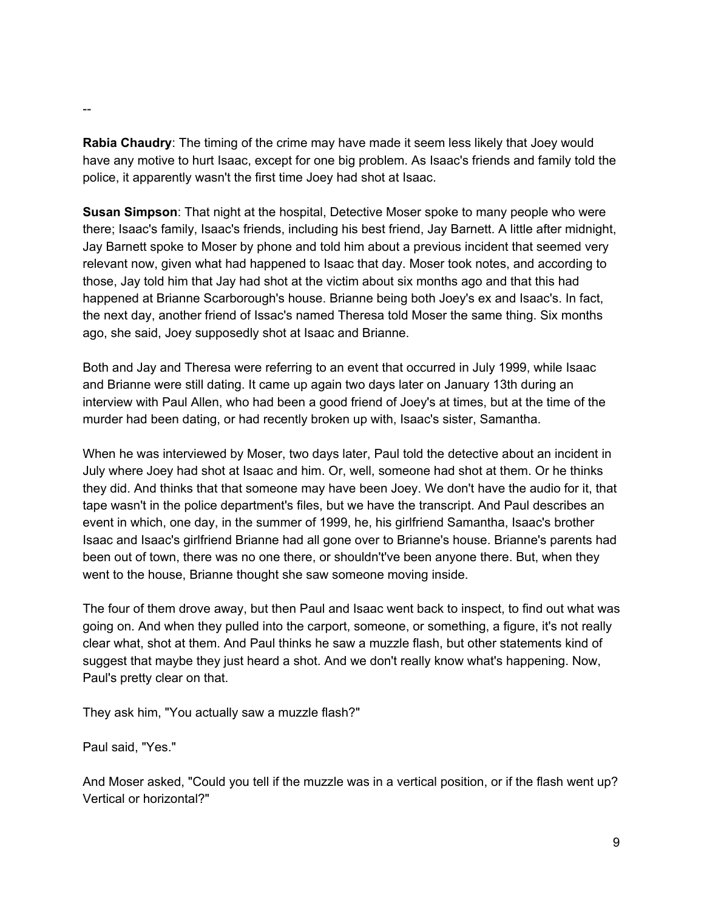**Rabia Chaudry**: The timing of the crime may have made it seem less likely that Joey would have any motive to hurt Isaac, except for one big problem. As Isaac's friends and family told the police, it apparently wasn't the first time Joey had shot at Isaac.

**Susan Simpson**: That night at the hospital, Detective Moser spoke to many people who were there; Isaac's family, Isaac's friends, including his best friend, Jay Barnett. A little after midnight, Jay Barnett spoke to Moser by phone and told him about a previous incident that seemed very relevant now, given what had happened to Isaac that day. Moser took notes, and according to those, Jay told him that Jay had shot at the victim about six months ago and that this had happened at Brianne Scarborough's house. Brianne being both Joey's ex and Isaac's. In fact, the next day, another friend of Issac's named Theresa told Moser the same thing. Six months ago, she said, Joey supposedly shot at Isaac and Brianne.

Both and Jay and Theresa were referring to an event that occurred in July 1999, while Isaac and Brianne were still dating. It came up again two days later on January 13th during an interview with Paul Allen, who had been a good friend of Joey's at times, but at the time of the murder had been dating, or had recently broken up with, Isaac's sister, Samantha.

When he was interviewed by Moser, two days later, Paul told the detective about an incident in July where Joey had shot at Isaac and him. Or, well, someone had shot at them. Or he thinks they did. And thinks that that someone may have been Joey. We don't have the audio for it, that tape wasn't in the police department's files, but we have the transcript. And Paul describes an event in which, one day, in the summer of 1999, he, his girlfriend Samantha, Isaac's brother Isaac and Isaac's girlfriend Brianne had all gone over to Brianne's house. Brianne's parents had been out of town, there was no one there, or shouldn't've been anyone there. But, when they went to the house, Brianne thought she saw someone moving inside.

The four of them drove away, but then Paul and Isaac went back to inspect, to find out what was going on. And when they pulled into the carport, someone, or something, a figure, it's not really clear what, shot at them. And Paul thinks he saw a muzzle flash, but other statements kind of suggest that maybe they just heard a shot. And we don't really know what's happening. Now, Paul's pretty clear on that.

They ask him, "You actually saw a muzzle flash?"

Paul said, "Yes."

And Moser asked, "Could you tell if the muzzle was in a vertical position, or if the flash went up? Vertical or horizontal?"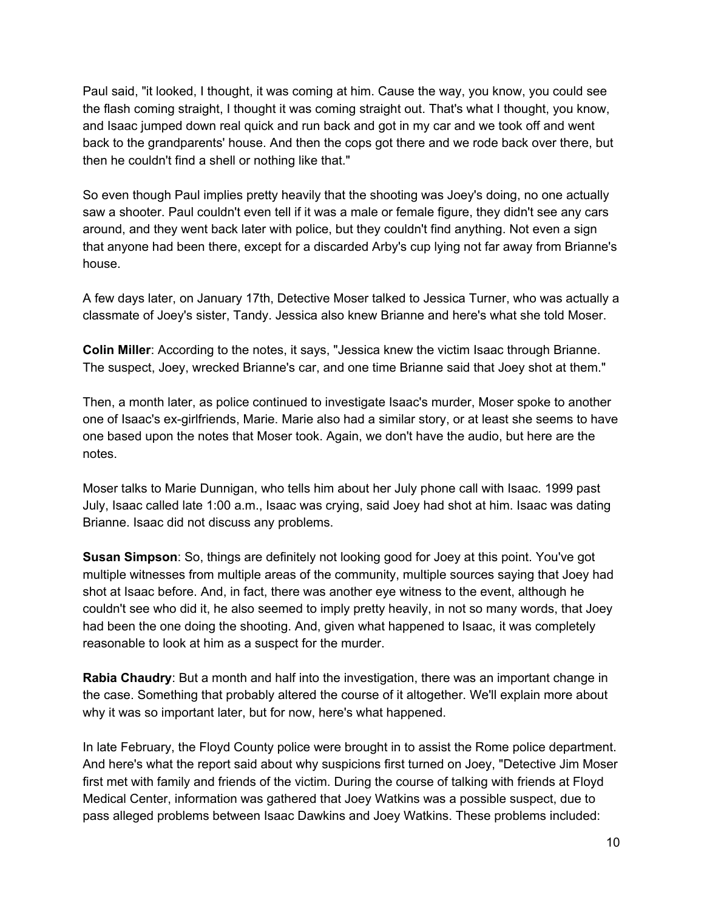Paul said, "it looked, I thought, it was coming at him. Cause the way, you know, you could see the flash coming straight, I thought it was coming straight out. That's what I thought, you know, and Isaac jumped down real quick and run back and got in my car and we took off and went back to the grandparents' house. And then the cops got there and we rode back over there, but then he couldn't find a shell or nothing like that."

So even though Paul implies pretty heavily that the shooting was Joey's doing, no one actually saw a shooter. Paul couldn't even tell if it was a male or female figure, they didn't see any cars around, and they went back later with police, but they couldn't find anything. Not even a sign that anyone had been there, except for a discarded Arby's cup lying not far away from Brianne's house.

A few days later, on January 17th, Detective Moser talked to Jessica Turner, who was actually a classmate of Joey's sister, Tandy. Jessica also knew Brianne and here's what she told Moser.

**Colin Miller**: According to the notes, it says, "Jessica knew the victim Isaac through Brianne. The suspect, Joey, wrecked Brianne's car, and one time Brianne said that Joey shot at them."

Then, a month later, as police continued to investigate Isaac's murder, Moser spoke to another one of Isaac's ex-girlfriends, Marie. Marie also had a similar story, or at least she seems to have one based upon the notes that Moser took. Again, we don't have the audio, but here are the notes.

Moser talks to Marie Dunnigan, who tells him about her July phone call with Isaac. 1999 past July, Isaac called late 1:00 a.m., Isaac was crying, said Joey had shot at him. Isaac was dating Brianne. Isaac did not discuss any problems.

**Susan Simpson**: So, things are definitely not looking good for Joey at this point. You've got multiple witnesses from multiple areas of the community, multiple sources saying that Joey had shot at Isaac before. And, in fact, there was another eye witness to the event, although he couldn't see who did it, he also seemed to imply pretty heavily, in not so many words, that Joey had been the one doing the shooting. And, given what happened to Isaac, it was completely reasonable to look at him as a suspect for the murder.

**Rabia Chaudry**: But a month and half into the investigation, there was an important change in the case. Something that probably altered the course of it altogether. We'll explain more about why it was so important later, but for now, here's what happened.

In late February, the Floyd County police were brought in to assist the Rome police department. And here's what the report said about why suspicions first turned on Joey, "Detective Jim Moser first met with family and friends of the victim. During the course of talking with friends at Floyd Medical Center, information was gathered that Joey Watkins was a possible suspect, due to pass alleged problems between Isaac Dawkins and Joey Watkins. These problems included: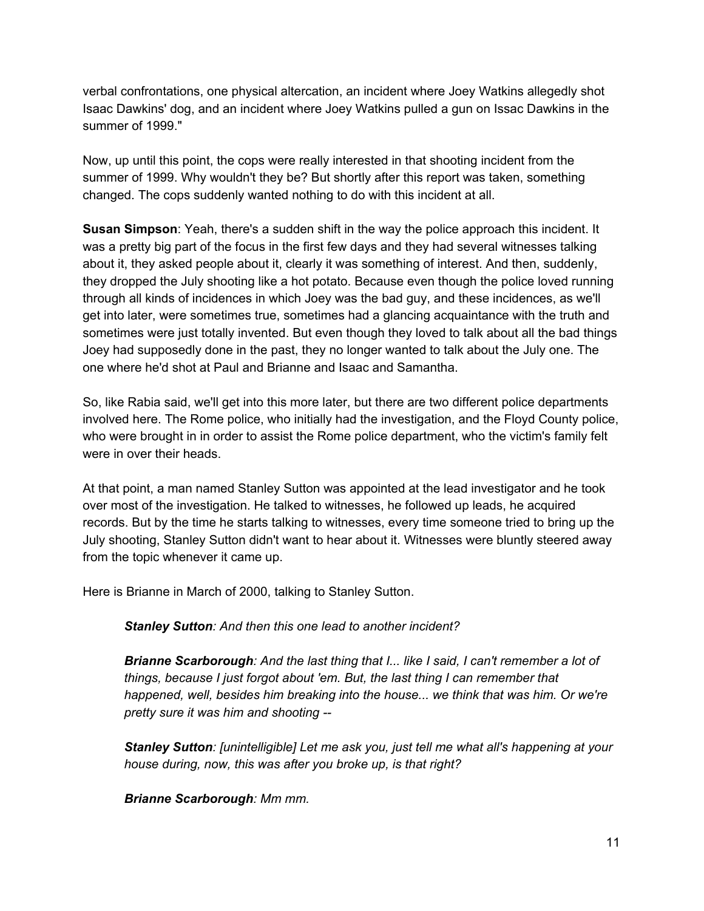verbal confrontations, one physical altercation, an incident where Joey Watkins allegedly shot Isaac Dawkins' dog, and an incident where Joey Watkins pulled a gun on Issac Dawkins in the summer of 1999."

Now, up until this point, the cops were really interested in that shooting incident from the summer of 1999. Why wouldn't they be? But shortly after this report was taken, something changed. The cops suddenly wanted nothing to do with this incident at all.

**Susan Simpson**: Yeah, there's a sudden shift in the way the police approach this incident. It was a pretty big part of the focus in the first few days and they had several witnesses talking about it, they asked people about it, clearly it was something of interest. And then, suddenly, they dropped the July shooting like a hot potato. Because even though the police loved running through all kinds of incidences in which Joey was the bad guy, and these incidences, as we'll get into later, were sometimes true, sometimes had a glancing acquaintance with the truth and sometimes were just totally invented. But even though they loved to talk about all the bad things Joey had supposedly done in the past, they no longer wanted to talk about the July one. The one where he'd shot at Paul and Brianne and Isaac and Samantha.

So, like Rabia said, we'll get into this more later, but there are two different police departments involved here. The Rome police, who initially had the investigation, and the Floyd County police, who were brought in in order to assist the Rome police department, who the victim's family felt were in over their heads.

At that point, a man named Stanley Sutton was appointed at the lead investigator and he took over most of the investigation. He talked to witnesses, he followed up leads, he acquired records. But by the time he starts talking to witnesses, every time someone tried to bring up the July shooting, Stanley Sutton didn't want to hear about it. Witnesses were bluntly steered away from the topic whenever it came up.

Here is Brianne in March of 2000, talking to Stanley Sutton.

*Stanley Sutton: And then this one lead to another incident?*

*Brianne Scarborough:And the last thing that I... like I said, I can't remember a lot of things, because I just forgot about 'em. But, the last thing I can remember that happened, well, besides him breaking into the house... we think that was him. Or we're pretty sure it was him and shooting*

*Stanley Sutton: [unintelligible] Let me ask you, just tell me what all's happening at your house during, now, this was after you broke up, is that right?*

*Brianne Scarborough:Mm mm.*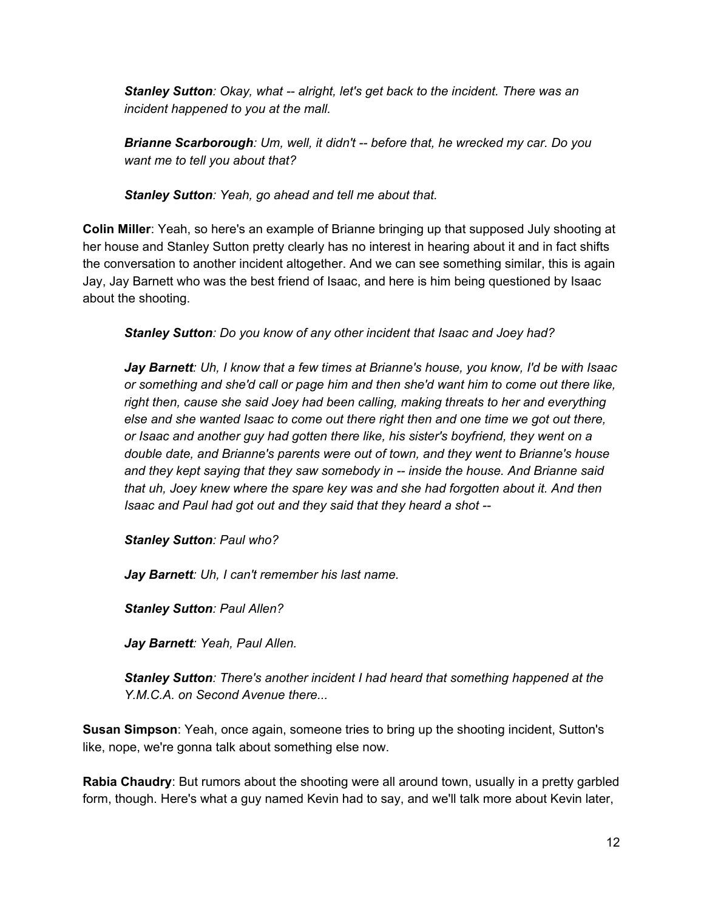*Stanley Sutton: Okay, what alright, let's get back to the incident. There was an incident happened to you at the mall.*

*Brianne Scarborough:Um, well, it didn't before that, he wrecked my car. Do you want me to tell you about that?*

*Stanley Sutton: Yeah, go ahead and tell me about that.*

**Colin Miller**: Yeah, so here's an example of Brianne bringing up that supposed July shooting at her house and Stanley Sutton pretty clearly has no interest in hearing about it and in fact shifts the conversation to another incident altogether. And we can see something similar, this is again Jay, Jay Barnett who was the best friend of Isaac, and here is him being questioned by Isaac about the shooting.

*Stanley Sutton: Do you know of any other incident that Isaac and Joey had?*

*Jay Barnett: Uh, I know that a few times at Brianne's house, you know, I'd be with Isaac or something and she'd call or page him and then she'd want him to come out there like, right then, cause she said Joey had been calling, making threats to her and everything else and she wanted Isaac to come out there right then and one time we got out there, or Isaac and another guy had gotten there like, his sister's boyfriend, they went on a double date, and Brianne's parents were out of town, and they went to Brianne's house and they kept saying that they saw somebody in inside the house. And Brianne said that uh, Joey knew where the spare key was and she had forgotten about it. And then Isaac and Paul had got out and they said that they heard a shot*

*Stanley Sutton: Paul who?*

*Jay Barnett: Uh, I can't remember his last name.*

*Stanley Sutton: Paul Allen?*

*Jay Barnett: Yeah, Paul Allen.*

*Stanley Sutton: There's another incident I had heard that something happened at the Y.M.C.A. on Second Avenue there...*

**Susan Simpson**: Yeah, once again, someone tries to bring up the shooting incident, Sutton's like, nope, we're gonna talk about something else now.

**Rabia Chaudry**: But rumors about the shooting were all around town, usually in a pretty garbled form, though. Here's what a guy named Kevin had to say, and we'll talk more about Kevin later,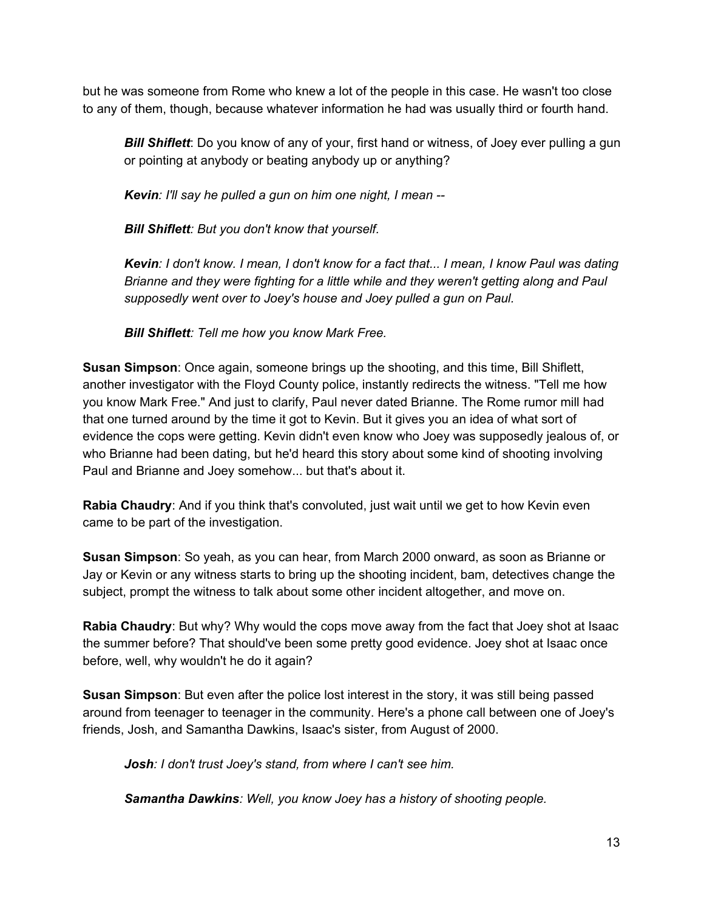but he was someone from Rome who knew a lot of the people in this case. He wasn't too close to any of them, though, because whatever information he had was usually third or fourth hand.

*Bill Shiflett*: Do you know of any of your, first hand or witness, of Joey ever pulling a gun or pointing at anybody or beating anybody up or anything?

*Kevin: I'll say he pulled a gun on him one night, I mean*

*Bill Shiflett: But you don't know that yourself.*

Kevin: I don't know. I mean, I don't know for a fact that... I mean, I know Paul was dating *Brianne and they were fighting for a little while and they weren't getting along and Paul supposedly went over to Joey's house and Joey pulled a gun on Paul.*

*Bill Shiflett: Tell me how you know Mark Free.*

**Susan Simpson**: Once again, someone brings up the shooting, and this time, Bill Shiflett, another investigator with the Floyd County police, instantly redirects the witness. "Tell me how you know Mark Free." And just to clarify, Paul never dated Brianne. The Rome rumor mill had that one turned around by the time it got to Kevin. But it gives you an idea of what sort of evidence the cops were getting. Kevin didn't even know who Joey was supposedly jealous of, or who Brianne had been dating, but he'd heard this story about some kind of shooting involving Paul and Brianne and Joey somehow... but that's about it.

**Rabia Chaudry**: And if you think that's convoluted, just wait until we get to how Kevin even came to be part of the investigation.

**Susan Simpson**: So yeah, as you can hear, from March 2000 onward, as soon as Brianne or Jay or Kevin or any witness starts to bring up the shooting incident, bam, detectives change the subject, prompt the witness to talk about some other incident altogether, and move on.

**Rabia Chaudry**: But why? Why would the cops move away from the fact that Joey shot at Isaac the summer before? That should've been some pretty good evidence. Joey shot at Isaac once before, well, why wouldn't he do it again?

**Susan Simpson**: But even after the police lost interest in the story, it was still being passed around from teenager to teenager in the community. Here's a phone call between one of Joey's friends, Josh, and Samantha Dawkins, Isaac's sister, from August of 2000.

*Josh: I don't trust Joey's stand, from where I can't see him.*

*Samantha Dawkins:Well, you know Joey has a history of shooting people.*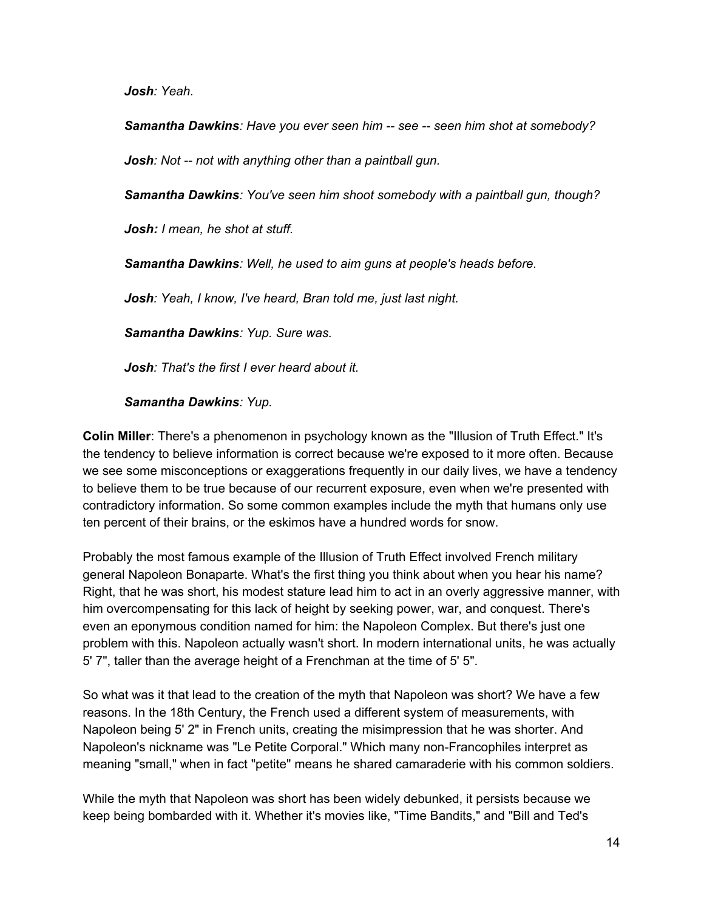*Josh: Yeah.*

*Samantha Dawkins:Have you ever seen him see seen him shot at somebody?*

*Josh: Not not with anything other than a paintball gun.*

*Samantha Dawkins:You've seen him shoot somebody with a paintball gun, though?*

*Josh: I mean, he shot at stuff.*

*Samantha Dawkins:Well, he used to aim guns at people's heads before.*

*Josh: Yeah, I know, I've heard, Bran told me, just last night.*

*Samantha Dawkins:Yup. Sure was.*

*Josh: That's the first I ever heard about it.*

## *Samantha Dawkins:Yup.*

**Colin Miller**: There's a phenomenon in psychology known as the "Illusion of Truth Effect." It's the tendency to believe information is correct because we're exposed to it more often. Because we see some misconceptions or exaggerations frequently in our daily lives, we have a tendency to believe them to be true because of our recurrent exposure, even when we're presented with contradictory information. So some common examples include the myth that humans only use ten percent of their brains, or the eskimos have a hundred words for snow.

Probably the most famous example of the Illusion of Truth Effect involved French military general Napoleon Bonaparte. What's the first thing you think about when you hear his name? Right, that he was short, his modest stature lead him to act in an overly aggressive manner, with him overcompensating for this lack of height by seeking power, war, and conquest. There's even an eponymous condition named for him: the Napoleon Complex. But there's just one problem with this. Napoleon actually wasn't short. In modern international units, he was actually 5' 7", taller than the average height of a Frenchman at the time of 5' 5".

So what was it that lead to the creation of the myth that Napoleon was short? We have a few reasons. In the 18th Century, the French used a different system of measurements, with Napoleon being 5' 2" in French units, creating the misimpression that he was shorter. And Napoleon's nickname was "Le Petite Corporal." Which many non-Francophiles interpret as meaning "small," when in fact "petite" means he shared camaraderie with his common soldiers.

While the myth that Napoleon was short has been widely debunked, it persists because we keep being bombarded with it. Whether it's movies like, "Time Bandits," and "Bill and Ted's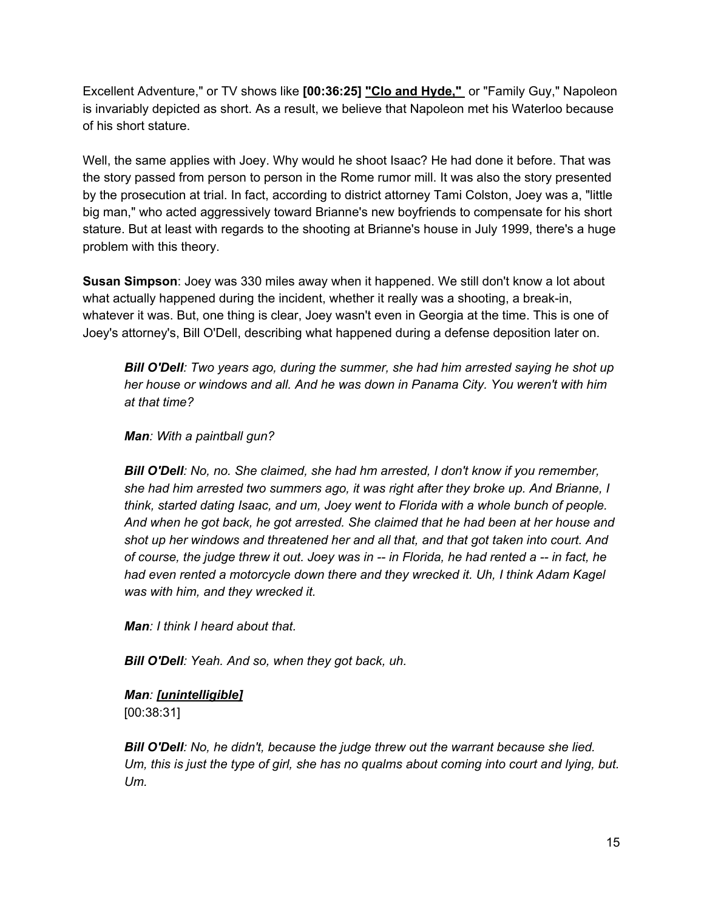Excellent Adventure," or TV shows like **[00:36:25] "Clo and Hyde,"** or "Family Guy," Napoleon is invariably depicted as short. As a result, we believe that Napoleon met his Waterloo because of his short stature.

Well, the same applies with Joey. Why would he shoot Isaac? He had done it before. That was the story passed from person to person in the Rome rumor mill. It was also the story presented by the prosecution at trial. In fact, according to district attorney Tami Colston, Joey was a, "little big man," who acted aggressively toward Brianne's new boyfriends to compensate for his short stature. But at least with regards to the shooting at Brianne's house in July 1999, there's a huge problem with this theory.

**Susan Simpson**: Joey was 330 miles away when it happened. We still don't know a lot about what actually happened during the incident, whether it really was a shooting, a break-in, whatever it was. But, one thing is clear, Joey wasn't even in Georgia at the time. This is one of Joey's attorney's, Bill O'Dell, describing what happened during a defense deposition later on.

*Bill O'Dell: Two years ago, during the summer, she had him arrested saying he shot up her house or windows and all. And he was down in Panama City. You weren't with him at that time?*

*Man: With a paintball gun?*

*Bill O'Dell: No, no. She claimed, she had hm arrested, I don't know if you remember, she had him arrested two summers ago, it was right after they broke up. And Brianne, I think, started dating Isaac, and um, Joey went to Florida with a whole bunch of people. And when he got back, he got arrested. She claimed that he had been at her house and shot up her windows and threatened her and all that, and that got taken into court. And of course, the judge threw it out. Joey was in in Florida, he had rented a in fact, he had even rented a motorcycle down there and they wrecked it. Uh, I think Adam Kagel was with him, and they wrecked it.*

*Man: I think I heard about that.*

*Bill O'Dell: Yeah. And so, when they got back, uh.*

## *Man: [unintelligible]* [00:38:31]

*Bill O'Dell: No, he didn't, because the judge threw out the warrant because she lied.* Um, this is just the type of girl, she has no qualms about coming into court and lying, but. *Um.*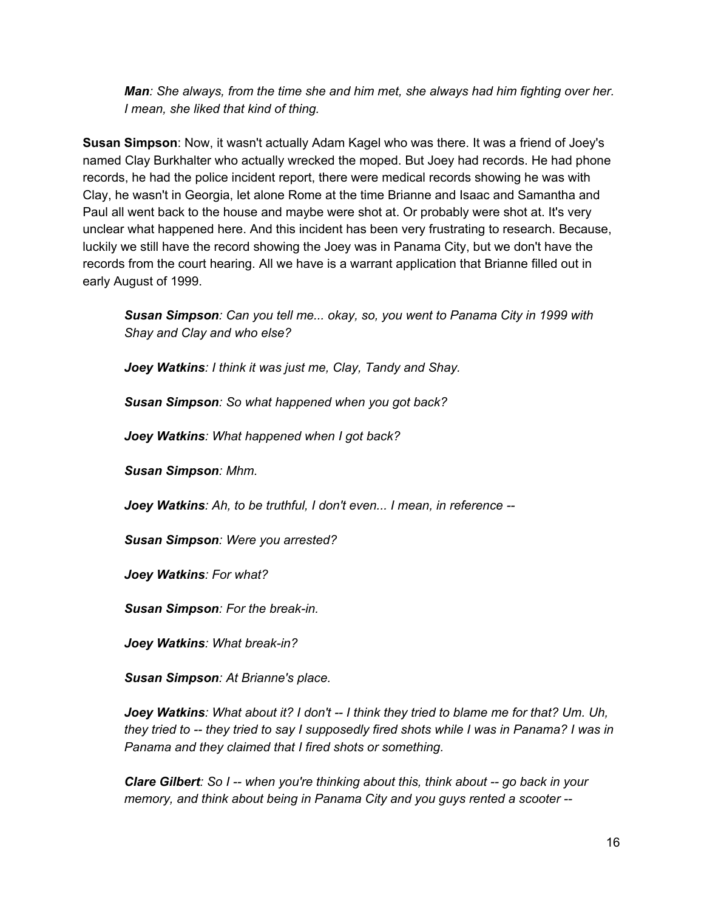*Man: She always, from the time she and him met, she always had him fighting over her. I mean, she liked that kind of thing.*

**Susan Simpson**: Now, it wasn't actually Adam Kagel who was there. It was a friend of Joey's named Clay Burkhalter who actually wrecked the moped. But Joey had records. He had phone records, he had the police incident report, there were medical records showing he was with Clay, he wasn't in Georgia, let alone Rome at the time Brianne and Isaac and Samantha and Paul all went back to the house and maybe were shot at. Or probably were shot at. It's very unclear what happened here. And this incident has been very frustrating to research. Because, luckily we still have the record showing the Joey was in Panama City, but we don't have the records from the court hearing. All we have is a warrant application that Brianne filled out in early August of 1999.

*Susan Simpson: Can you tell me... okay, so, you went to Panama City in 1999 with Shay and Clay and who else?*

*Joey Watkins: I think it was just me, Clay, Tandy and Shay.*

*Susan Simpson: So what happened when you got back?*

*Joey Watkins: What happened when I got back?*

*Susan Simpson: Mhm.*

*Joey Watkins: Ah, to be truthful, I don't even... I mean, in reference*

*Susan Simpson: Were you arrested?*

*Joey Watkins: For what?*

**Susan Simpson**: For the break-in.

**Joey Watkins**: What break-in?

*Susan Simpson: At Brianne's place.*

*Joey Watkins: What about it? I don't I think they tried to blame me for that? Um. Uh, they tried to they tried to say I supposedly fired shots while I was in Panama? I was in Panama and they claimed that I fired shots or something.*

*Clare Gilbert: So I when you're thinking about this, think about go back in your memory, and think about being in Panama City and you guys rented a scooter*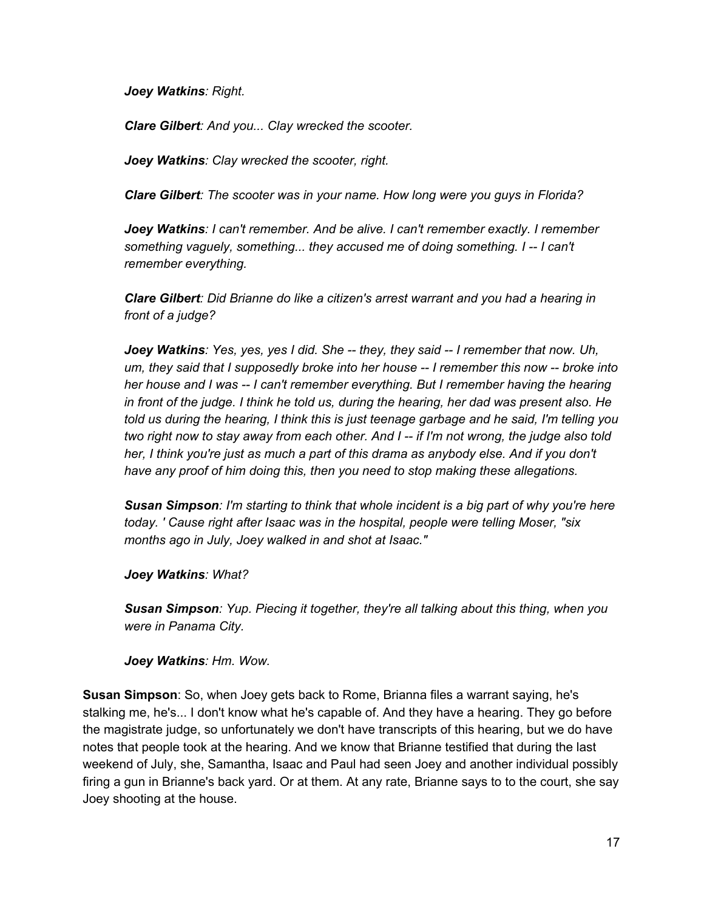*Joey Watkins: Right.*

*Clare Gilbert: And you... Clay wrecked the scooter.*

*Joey Watkins: Clay wrecked the scooter, right.*

*Clare Gilbert: The scooter was in your name. How long were you guys in Florida?*

*Joey Watkins: I can't remember. And be alive. I can't remember exactly. I remember something vaguely, something... they accused me of doing something. I I can't remember everything.*

*Clare Gilbert: Did Brianne do like a citizen's arrest warrant and you had a hearing in front of a judge?*

*Joey Watkins: Yes, yes, yes I did. She they, they said I remember that now. Uh, um, they said that I supposedly broke into her house I remember this now broke into her house and I was I can't remember everything. But I remember having the hearing in front of the judge. I think he told us, during the hearing, her dad was present also. He told us during the hearing, I think this is just teenage garbage and he said, I'm telling you two right now to stay away from each other. And I if I'm not wrong, the judge also told her, I think you're just as much a part of this drama as anybody else. And if you don't have any proof of him doing this, then you need to stop making these allegations.*

*Susan Simpson: I'm starting to think that whole incident is a big part of why you're here today. ' Cause right after Isaac was in the hospital, people were telling Moser, "six months ago in July, Joey walked in and shot at Isaac."*

*Joey Watkins: What?*

*Susan Simpson: Yup. Piecing it together, they're all talking about this thing, when you were in Panama City.*

*Joey Watkins: Hm. Wow.*

**Susan Simpson**: So, when Joey gets back to Rome, Brianna files a warrant saying, he's stalking me, he's... I don't know what he's capable of. And they have a hearing. They go before the magistrate judge, so unfortunately we don't have transcripts of this hearing, but we do have notes that people took at the hearing. And we know that Brianne testified that during the last weekend of July, she, Samantha, Isaac and Paul had seen Joey and another individual possibly firing a gun in Brianne's back yard. Or at them. At any rate, Brianne says to to the court, she say Joey shooting at the house.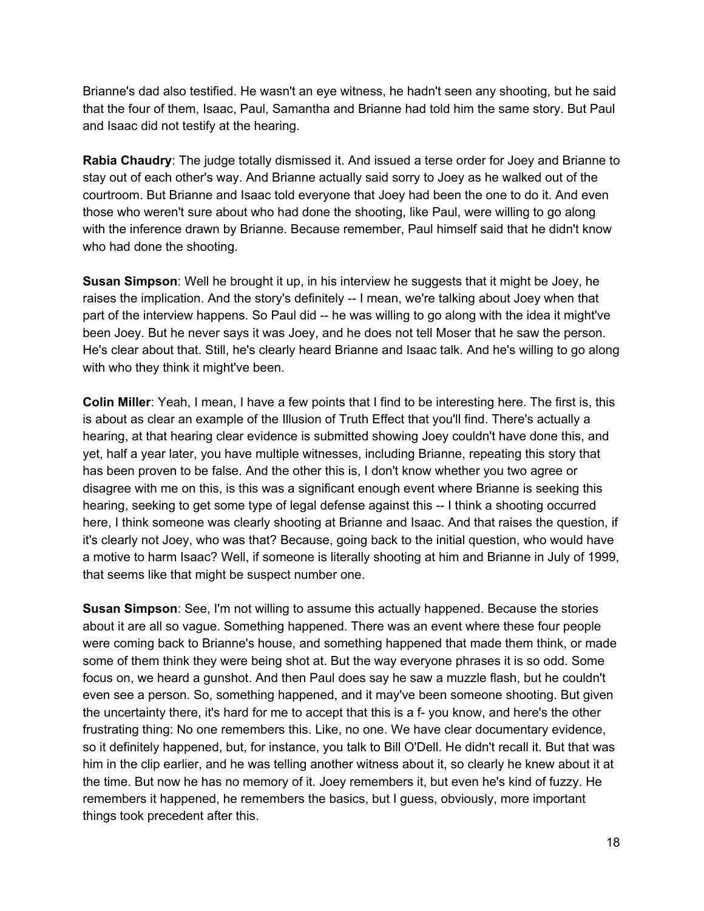Brianne's dad also testified. He wasn't an eye witness, he hadn't seen any shooting, but he said that the four of them, Isaac, Paul, Samantha and Brianne had told him the same story. But Paul and Isaac did not testify at the hearing.

**Rabia Chaudry**: The judge totally dismissed it. And issued a terse order for Joey and Brianne to stay out of each other's way. And Brianne actually said sorry to Joey as he walked out of the courtroom. But Brianne and Isaac told everyone that Joey had been the one to do it. And even those who weren't sure about who had done the shooting, like Paul, were willing to go along with the inference drawn by Brianne. Because remember, Paul himself said that he didn't know who had done the shooting.

**Susan Simpson**: Well he brought it up, in his interview he suggests that it might be Joey, he raises the implication. And the story's definitely -- I mean, we're talking about Joey when that part of the interview happens. So Paul did -- he was willing to go along with the idea it might've been Joey. But he never says it was Joey, and he does not tell Moser that he saw the person. He's clear about that. Still, he's clearly heard Brianne and Isaac talk. And he's willing to go along with who they think it might've been.

**Colin Miller**: Yeah, I mean, I have a few points that I find to be interesting here. The first is, this is about as clear an example of the Illusion of Truth Effect that you'll find. There's actually a hearing, at that hearing clear evidence is submitted showing Joey couldn't have done this, and yet, half a year later, you have multiple witnesses, including Brianne, repeating this story that has been proven to be false. And the other this is, I don't know whether you two agree or disagree with me on this, is this was a significant enough event where Brianne is seeking this hearing, seeking to get some type of legal defense against this -- I think a shooting occurred here, I think someone was clearly shooting at Brianne and Isaac. And that raises the question, if it's clearly not Joey, who was that? Because, going back to the initial question, who would have a motive to harm Isaac? Well, if someone is literally shooting at him and Brianne in July of 1999, that seems like that might be suspect number one.

**Susan Simpson**: See, I'm not willing to assume this actually happened. Because the stories about it are all so vague. Something happened. There was an event where these four people were coming back to Brianne's house, and something happened that made them think, or made some of them think they were being shot at. But the way everyone phrases it is so odd. Some focus on, we heard a gunshot. And then Paul does say he saw a muzzle flash, but he couldn't even see a person. So, something happened, and it may've been someone shooting. But given the uncertainty there, it's hard for me to accept that this is a f-you know, and here's the other frustrating thing: No one remembers this. Like, no one. We have clear documentary evidence, so it definitely happened, but, for instance, you talk to Bill O'Dell. He didn't recall it. But that was him in the clip earlier, and he was telling another witness about it, so clearly he knew about it at the time. But now he has no memory of it. Joey remembers it, but even he's kind of fuzzy. He remembers it happened, he remembers the basics, but I guess, obviously, more important things took precedent after this.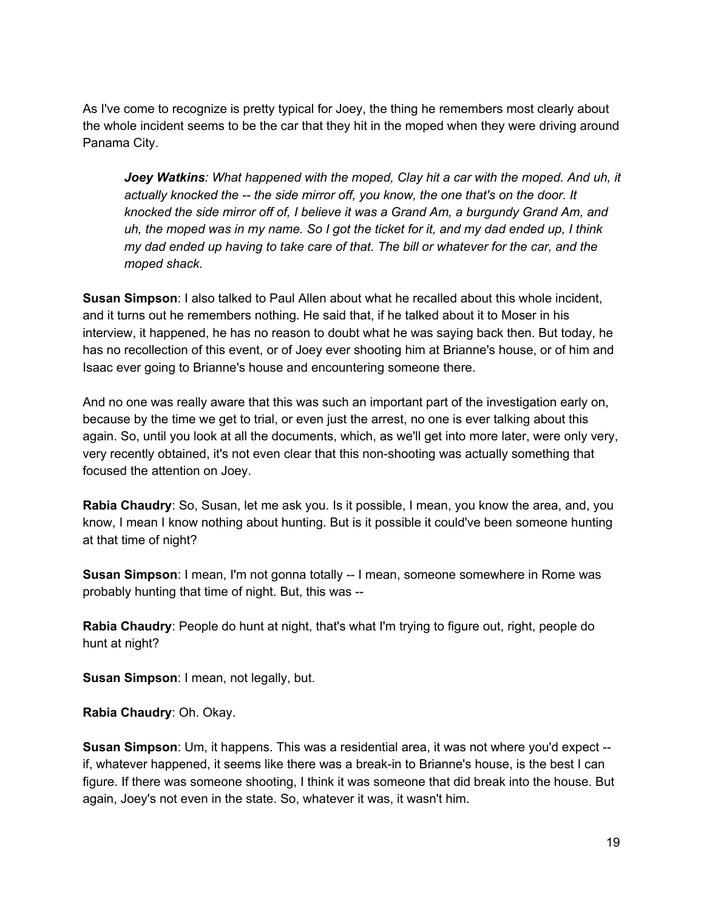As I've come to recognize is pretty typical for Joey, the thing he remembers most clearly about the whole incident seems to be the car that they hit in the moped when they were driving around Panama City.

*Joey Watkins: What happened with the moped, Clay hit a car with the moped. And uh, it actually knocked the the side mirror off, you know, the one that's on the door. It knocked the side mirror off of, I believe it was a Grand Am, a burgundy Grand Am, and* uh, the moped was in my name. So I got the ticket for it, and my dad ended up, I think *my dad ended up having to take care of that. The bill or whatever for the car, and the moped shack.*

**Susan Simpson**: I also talked to Paul Allen about what he recalled about this whole incident, and it turns out he remembers nothing. He said that, if he talked about it to Moser in his interview, it happened, he has no reason to doubt what he was saying back then. But today, he has no recollection of this event, or of Joey ever shooting him at Brianne's house, or of him and Isaac ever going to Brianne's house and encountering someone there.

And no one was really aware that this was such an important part of the investigation early on, because by the time we get to trial, or even just the arrest, no one is ever talking about this again. So, until you look at all the documents, which, as we'll get into more later, were only very, very recently obtained, it's not even clear that this nonshooting was actually something that focused the attention on Joey.

**Rabia Chaudry**: So, Susan, let me ask you. Is it possible, I mean, you know the area, and, you know, I mean I know nothing about hunting. But is it possible it could've been someone hunting at that time of night?

**Susan Simpson**: I mean, I'm not gonna totally -- I mean, someone somewhere in Rome was probably hunting that time of night. But, this was

**Rabia Chaudry**: People do hunt at night, that's what I'm trying to figure out, right, people do hunt at night?

**Susan Simpson**: I mean, not legally, but.

**Rabia Chaudry**: Oh. Okay.

**Susan Simpson**: Um, it happens. This was a residential area, it was not where you'd expect if, whatever happened, it seems like there was a break-in to Brianne's house, is the best I can figure. If there was someone shooting, I think it was someone that did break into the house. But again, Joey's not even in the state. So, whatever it was, it wasn't him.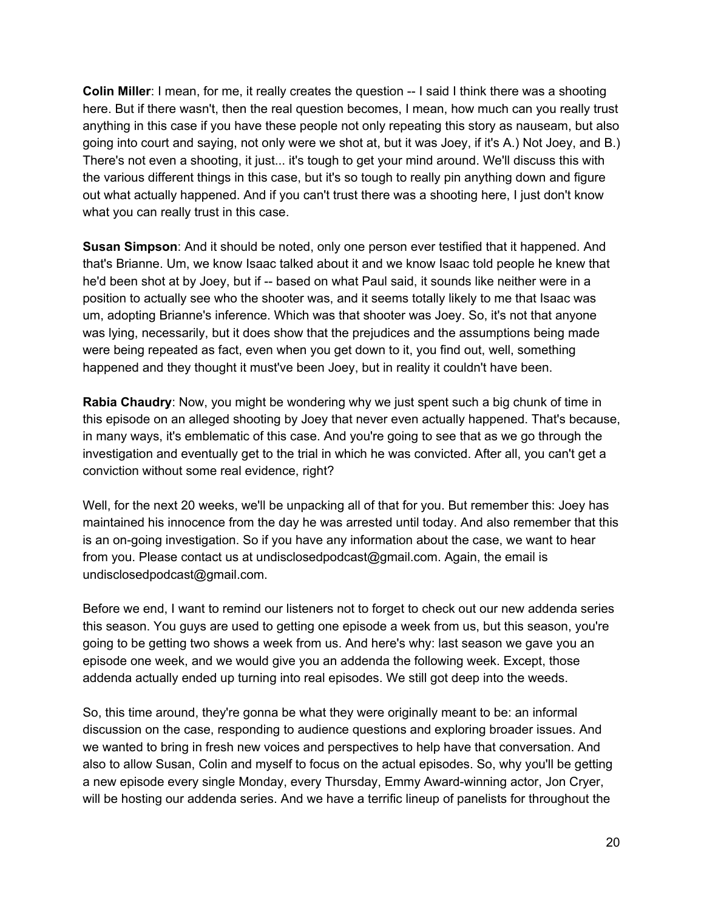**Colin Miller**: I mean, for me, it really creates the question -- I said I think there was a shooting here. But if there wasn't, then the real question becomes, I mean, how much can you really trust anything in this case if you have these people not only repeating this story as nauseam, but also going into court and saying, not only were we shot at, but it was Joey, if it's A.) Not Joey, and B.) There's not even a shooting, it just... it's tough to get your mind around. We'll discuss this with the various different things in this case, but it's so tough to really pin anything down and figure out what actually happened. And if you can't trust there was a shooting here, I just don't know what you can really trust in this case.

**Susan Simpson**: And it should be noted, only one person ever testified that it happened. And that's Brianne. Um, we know Isaac talked about it and we know Isaac told people he knew that he'd been shot at by Joey, but if -- based on what Paul said, it sounds like neither were in a position to actually see who the shooter was, and it seems totally likely to me that Isaac was um, adopting Brianne's inference. Which was that shooter was Joey. So, it's not that anyone was lying, necessarily, but it does show that the prejudices and the assumptions being made were being repeated as fact, even when you get down to it, you find out, well, something happened and they thought it must've been Joey, but in reality it couldn't have been.

**Rabia Chaudry**: Now, you might be wondering why we just spent such a big chunk of time in this episode on an alleged shooting by Joey that never even actually happened. That's because, in many ways, it's emblematic of this case. And you're going to see that as we go through the investigation and eventually get to the trial in which he was convicted. After all, you can't get a conviction without some real evidence, right?

Well, for the next 20 weeks, we'll be unpacking all of that for you. But remember this: Joey has maintained his innocence from the day he was arrested until today. And also remember that this is an on-going investigation. So if you have any information about the case, we want to hear from you. Please contact us at undisclosedpodcast@gmail.com. Again, the email is undisclosedpodcast@gmail.com.

Before we end, I want to remind our listeners not to forget to check out our new addenda series this season. You guys are used to getting one episode a week from us, but this season, you're going to be getting two shows a week from us. And here's why: last season we gave you an episode one week, and we would give you an addenda the following week. Except, those addenda actually ended up turning into real episodes. We still got deep into the weeds.

So, this time around, they're gonna be what they were originally meant to be: an informal discussion on the case, responding to audience questions and exploring broader issues. And we wanted to bring in fresh new voices and perspectives to help have that conversation. And also to allow Susan, Colin and myself to focus on the actual episodes. So, why you'll be getting a new episode every single Monday, every Thursday, Emmy Award-winning actor, Jon Cryer, will be hosting our addenda series. And we have a terrific lineup of panelists for throughout the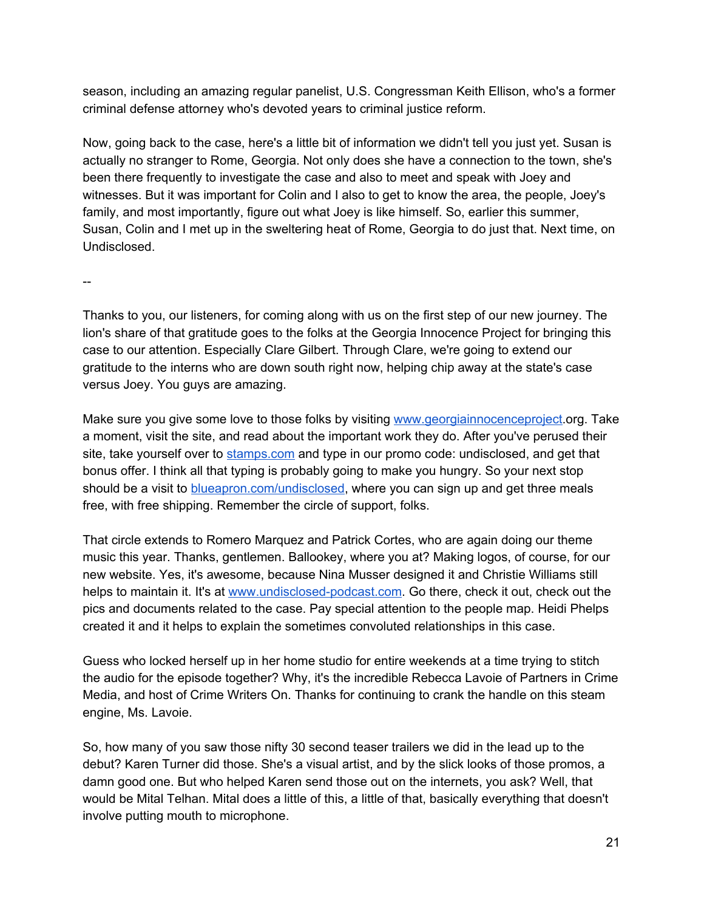season, including an amazing regular panelist, U.S. Congressman Keith Ellison, who's a former criminal defense attorney who's devoted years to criminal justice reform.

Now, going back to the case, here's a little bit of information we didn't tell you just yet. Susan is actually no stranger to Rome, Georgia. Not only does she have a connection to the town, she's been there frequently to investigate the case and also to meet and speak with Joey and witnesses. But it was important for Colin and I also to get to know the area, the people, Joey's family, and most importantly, figure out what Joey is like himself. So, earlier this summer, Susan, Colin and I met up in the sweltering heat of Rome, Georgia to do just that. Next time, on Undisclosed.

--

Thanks to you, our listeners, for coming along with us on the first step of our new journey. The lion's share of that gratitude goes to the folks at the Georgia Innocence Project for bringing this case to our attention. Especially Clare Gilbert. Through Clare, we're going to extend our gratitude to the interns who are down south right now, helping chip away at the state's case versus Joey. You guys are amazing.

Make sure you give some love to those folks by visiting [www.georgiainnocenceproject.org.](http://www.georgiainnocenceproject.org/) Take a moment, visit the site, and read about the important work they do. After you've perused their site, take yourself over to [stamps.com](http://www.stamps.com/) and type in our promo code: undisclosed, and get that bonus offer. I think all that typing is probably going to make you hungry. So your next stop should be a visit to [blueapron.com/undisclosed,](http://blueapron.com/undisclosed) where you can sign up and get three meals free, with free shipping. Remember the circle of support, folks.

That circle extends to Romero Marquez and Patrick Cortes, who are again doing our theme music this year. Thanks, gentlemen. Ballookey, where you at? Making logos, of course, for our new website. Yes, it's awesome, because Nina Musser designed it and Christie Williams still helps to maintain it. It's at www.undisclosed-podcast.com. Go there, check it out, check out the pics and documents related to the case. Pay special attention to the people map. Heidi Phelps created it and it helps to explain the sometimes convoluted relationships in this case.

Guess who locked herself up in her home studio for entire weekends at a time trying to stitch the audio for the episode together? Why, it's the incredible Rebecca Lavoie of Partners in Crime Media, and host of Crime Writers On. Thanks for continuing to crank the handle on this steam engine, Ms. Lavoie.

So, how many of you saw those nifty 30 second teaser trailers we did in the lead up to the debut? Karen Turner did those. She's a visual artist, and by the slick looks of those promos, a damn good one. But who helped Karen send those out on the internets, you ask? Well, that would be Mital Telhan. Mital does a little of this, a little of that, basically everything that doesn't involve putting mouth to microphone.